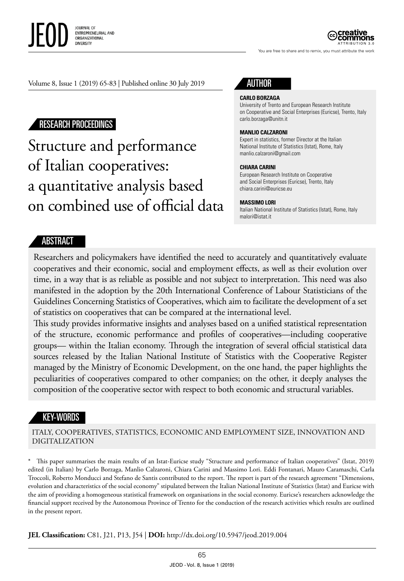

You are free to share and to remix, you must attribute the work

ATTRIBUTION 3.0

Volume 8, Issue 1 (2019) 65-83 | Published online 30 July 2019

# RESEARCH PROCEEDINGS

Structure and performance of Italian cooperatives: a quantitative analysis based on combined use of official data



#### **CARLO BORZAGA**

University of Trento and European Research Institute on Cooperative and Social Enterprises (Euricse), Trento, Italy [carlo.borzaga@unitn.it](mailto:carlo.borzaga@unitn.it)

#### **MANLIO CALZARONI**

Expert in statistics, former Director at the Italian National Institute of Statistics (Istat), Rome, Italy manlio.calzaroni@gmail.com

#### **CHIARA CARINI**

European Research Institute on Cooperative and Social Enterprises (Euricse), Trento, Italy [chiara.carini@euricse.eu](mailto:chiara.carini@euricse.eu)

#### **MASSIMO LORI**

Italian National Institute of Statistics (Istat), Rome, Italy malori@istat.it

#### ABSTRACT

Researchers and policymakers have identified the need to accurately and quantitatively evaluate cooperatives and their economic, social and employment effects, as well as their evolution over time, in a way that is as reliable as possible and not subject to interpretation. This need was also manifested in the adoption by the 20th International Conference of Labour Statisticians of the Guidelines Concerning Statistics of Cooperatives, which aim to facilitate the development of a set of statistics on cooperatives that can be compared at the international level.

This study provides informative insights and analyses based on a unified statistical representation of the structure, economic performance and profiles of cooperatives—including cooperative groups— within the Italian economy. Through the integration of several official statistical data sources released by the Italian National Institute of Statistics with the Cooperative Register managed by the Ministry of Economic Development, on the one hand, the paper highlights the peculiarities of cooperatives compared to other companies; on the other, it deeply analyses the composition of the cooperative sector with respect to both economic and structural variables.

#### KEY-WORDS

ITALY, COOPERATIVES, STATISTICS, ECONOMIC AND EMPLOYMENT SIZE, INNOVATION AND DIGITALIZATION

\* This paper summarises the main results of an Istat-Euricse study "Structure and performance of Italian cooperatives" (Istat, 2019) edited (in Italian) by Carlo Borzaga, Manlio Calzaroni, Chiara Carini and Massimo Lori. Eddi Fontanari, Mauro Caramaschi, Carla Troccoli, Roberto Monducci and Stefano de Santis contributed to the report. The report is part of the research agreement "Dimensions, evolution and characteristics of the social economy" stipulated between the Italian National Institute of Statistics (Istat) and Euricse with the aim of providing a homogeneous statistical framework on organisations in the social economy. Euricse's researchers acknowledge the financial support received by the Autonomous Province of Trento for the conduction of the research activities which results are outlined in the present report.

**JEL Classification:** C81, J21, P13, J54 | **DOI:** http://dx.doi.org/10.5947/jeod.2019.004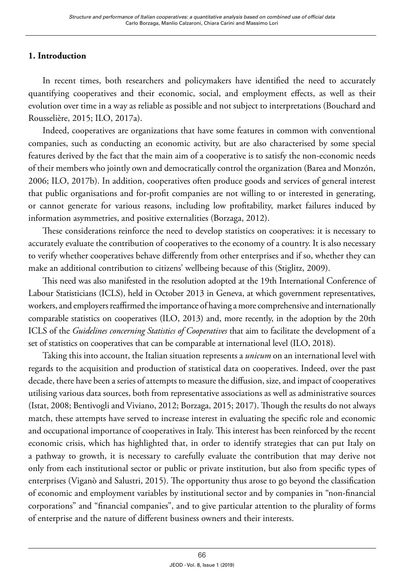# **1. Introduction**

In recent times, both researchers and policymakers have identified the need to accurately quantifying cooperatives and their economic, social, and employment effects, as well as their evolution over time in a way as reliable as possible and not subject to interpretations (Bouchard and Rousselière, 2015; ILO, 2017a).

Indeed, cooperatives are organizations that have some features in common with conventional companies, such as conducting an economic activity, but are also characterised by some special features derived by the fact that the main aim of a cooperative is to satisfy the non-economic needs of their members who jointly own and democratically control the organization (Barea and Monzón, 2006; ILO, 2017b). In addition, cooperatives often produce goods and services of general interest that public organisations and for-profit companies are not willing to or interested in generating, or cannot generate for various reasons, including low profitability, market failures induced by information asymmetries, and positive externalities (Borzaga, 2012).

These considerations reinforce the need to develop statistics on cooperatives: it is necessary to accurately evaluate the contribution of cooperatives to the economy of a country. It is also necessary to verify whether cooperatives behave differently from other enterprises and if so, whether they can make an additional contribution to citizens' wellbeing because of this (Stiglitz, 2009).

This need was also manifested in the resolution adopted at the 19th International Conference of Labour Statisticians (ICLS), held in October 2013 in Geneva, at which government representatives, workers, and employers reaffirmed the importance of having a more comprehensive and internationally comparable statistics on cooperatives (ILO, 2013) and, more recently, in the adoption by the 20th ICLS of the *Guidelines concerning Statistics of Cooperatives* that aim to facilitate the development of a set of statistics on cooperatives that can be comparable at international level (ILO, 2018).

Taking this into account, the Italian situation represents a *unicum* on an international level with regards to the acquisition and production of statistical data on cooperatives. Indeed, over the past decade, there have been a series of attempts to measure the diffusion, size, and impact of cooperatives utilising various data sources, both from representative associations as well as administrative sources (Istat, 2008; Bentivogli and Viviano, 2012; Borzaga, 2015; 2017). Though the results do not always match, these attempts have served to increase interest in evaluating the specific role and economic and occupational importance of cooperatives in Italy. This interest has been reinforced by the recent economic crisis, which has highlighted that, in order to identify strategies that can put Italy on a pathway to growth, it is necessary to carefully evaluate the contribution that may derive not only from each institutional sector or public or private institution, but also from specific types of enterprises (Viganò and Salustri, 2015). The opportunity thus arose to go beyond the classification of economic and employment variables by institutional sector and by companies in "non-financial corporations" and "financial companies", and to give particular attention to the plurality of forms of enterprise and the nature of different business owners and their interests.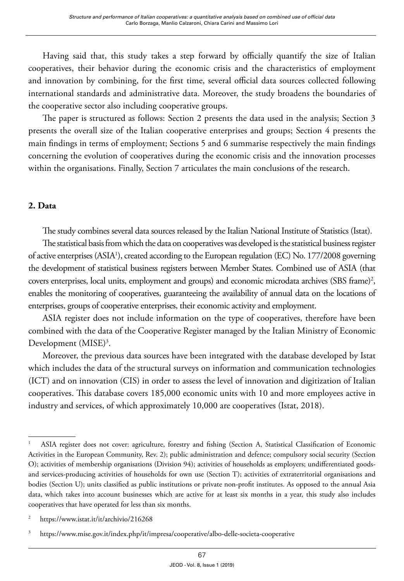Having said that, this study takes a step forward by officially quantify the size of Italian cooperatives, their behavior during the economic crisis and the characteristics of employment and innovation by combining, for the first time, several official data sources collected following international standards and administrative data. Moreover, the study broadens the boundaries of the cooperative sector also including cooperative groups.

The paper is structured as follows: Section 2 presents the data used in the analysis; Section 3 presents the overall size of the Italian cooperative enterprises and groups; Section 4 presents the main findings in terms of employment; Sections 5 and 6 summarise respectively the main findings concerning the evolution of cooperatives during the economic crisis and the innovation processes within the organisations. Finally, Section 7 articulates the main conclusions of the research.

## **2. Data**

The study combines several data sources released by the Italian National Institute of Statistics (Istat).

The statistical basis from which the data on cooperatives was developed is the statistical business register of active enterprises (ASIA<sup>1</sup>), created according to the European regulation (EC) No. 177/2008 governing the development of statistical business registers between Member States. Combined use of ASIA (that covers enterprises, local units, employment and groups) and economic microdata archives (SBS frame)<sup>2</sup>, enables the monitoring of cooperatives, guaranteeing the availability of annual data on the locations of enterprises, groups of cooperative enterprises, their economic activity and employment.

ASIA register does not include information on the type of cooperatives, therefore have been combined with the data of the Cooperative Register managed by the Italian Ministry of Economic Development (MISE)<sup>3</sup>.

Moreover, the previous data sources have been integrated with the database developed by Istat which includes the data of the structural surveys on information and communication technologies (ICT) and on innovation (CIS) in order to assess the level of innovation and digitization of Italian cooperatives. This database covers 185,000 economic units with 10 and more employees active in industry and services, of which approximately 10,000 are cooperatives (Istat, 2018).

<sup>1</sup> ASIA register does not cover: agriculture, forestry and fishing (Section A, Statistical Classification of Economic Activities in the European Community, Rev. 2); public administration and defence; compulsory social security (Section O); activities of membership organisations (Division 94); activities of households as employers; undifferentiated goodsand services-producing activities of households for own use (Section T); activities of extraterritorial organisations and bodies (Section U); units classified as public institutions or private non-profit institutes. As opposed to the annual Asia data, which takes into account businesses which are active for at least six months in a year, this study also includes cooperatives that have operated for less than six months.

<sup>&</sup>lt;sup>2</sup> <https://www.istat.it/it/archivio/216268>

<sup>3</sup> https://www.mise.gov.it/index.php/it/impresa/cooperative/albo-delle-societa-cooperative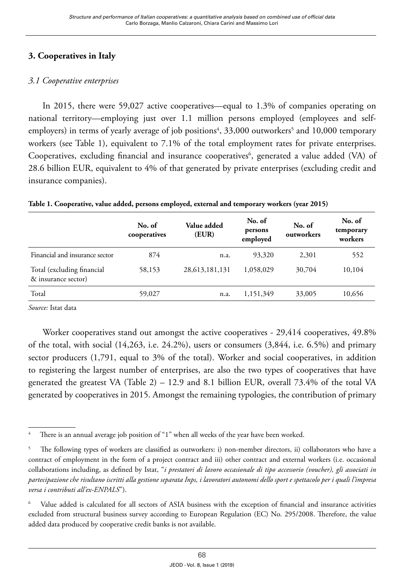# **3. Cooperatives in Italy**

## *3.1 Cooperative enterprises*

In 2015, there were 59,027 active cooperatives—equal to 1.3% of companies operating on national territory—employing just over 1.1 million persons employed (employees and selfemployers) in terms of yearly average of job positions<sup>4</sup>, 33,000 outworkers<sup>5</sup> and 10,000 temporary workers (see Table 1), equivalent to 7.1% of the total employment rates for private enterprises. Cooperatives, excluding financial and insurance cooperatives<sup>6</sup>, generated a value added (VA) of 28.6 billion EUR, equivalent to 4% of that generated by private enterprises (excluding credit and insurance companies).

|                                                   | No. of<br>cooperatives | Value added<br>(EUR) | No. of<br>persons<br>employed | No. of<br>outworkers | No. of<br>temporary<br>workers |
|---------------------------------------------------|------------------------|----------------------|-------------------------------|----------------------|--------------------------------|
| Financial and insurance sector                    | 874                    | n.a.                 | 93,320                        | 2,301                | 552                            |
| Total (excluding financial<br>& insurance sector) | 58,153                 | 28, 613, 181, 131    | 1.058.029                     | 30,704               | 10,104                         |
| Total                                             | 59,027                 | n.a.                 | 1,151,349                     | 33,005               | 10,656                         |

**Table 1. Cooperative, value added, persons employed, external and temporary workers (year 2015)**

*Source:* Istat data

Worker cooperatives stand out amongst the active cooperatives - 29,414 cooperatives, 49.8% of the total, with social (14,263, i.e. 24.2%), users or consumers (3,844, i.e. 6.5%) and primary sector producers (1,791, equal to 3% of the total). Worker and social cooperatives, in addition to registering the largest number of enterprises, are also the two types of cooperatives that have generated the greatest VA (Table 2) – 12.9 and 8.1 billion EUR, overall 73.4% of the total VA generated by cooperatives in 2015. Amongst the remaining typologies, the contribution of primary

There is an annual average job position of "1" when all weeks of the year have been worked.

<sup>5</sup> The following types of workers are classified as outworkers: i) non-member directors, ii) collaborators who have a contract of employment in the form of a project contract and iii) other contract and external workers (i.e. occasional collaborations including, as defined by Istat, "*i prestatori di lavoro occasionale di tipo accessorio (voucher), gli associati in partecipazione che risultano iscritti alla gestione separata Inps, i lavoratori autonomi dello sport e spettacolo per i quali l'impresa versa i contributi all'ex-ENPALS*").

Value added is calculated for all sectors of ASIA business with the exception of financial and insurance activities excluded from structural business survey according to European Regulation (EC) No. 295/2008. Therefore, the value added data produced by cooperative credit banks is not available.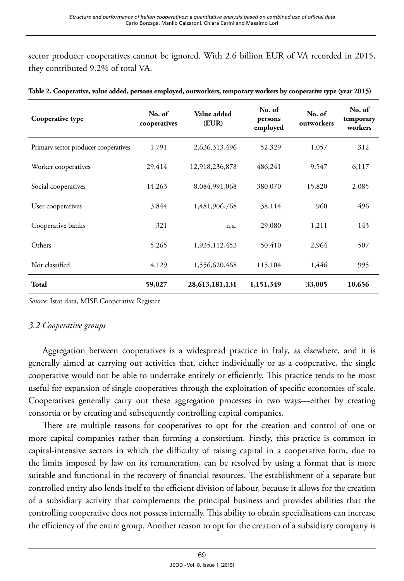sector producer cooperatives cannot be ignored. With 2.6 billion EUR of VA recorded in 2015, they contributed 9.2% of total VA.

| Cooperative type                     | No. of<br>cooperatives | Value added<br>(EUR) | No. of<br>persons<br>employed | No. of<br>outworkers | No. of<br>temporary<br>workers |
|--------------------------------------|------------------------|----------------------|-------------------------------|----------------------|--------------------------------|
| Primary sector producer cooperatives | 1,791                  | 2,636,313,496        | 52,329                        | 1,057                | 312                            |
| Worker cooperatives                  | 29,414                 | 12,918,236,878       | 486,241                       | 9,547                | 6,117                          |
| Social cooperatives                  | 14,263                 | 8,084,991,068        | 380,070                       | 15,820               | 2,085                          |
| User cooperatives                    | 3,844                  | 1,481,906,768        | 38,114                        | 960                  | 496                            |
| Cooperative banks                    | 321                    | n.a.                 | 29,080                        | 1,211                | 143                            |
| Others                               | 5,265                  | 1,935,112,453        | 50,410                        | 2,964                | 507                            |
| Not classified                       | 4,129                  | 1,556,620,468        | 115,104                       | 1,446                | 995                            |
| Total                                | 59,027                 | 28,613,181,131       | 1,151,349                     | 33,005               | 10,656                         |

| Table 2. Cooperative, value added, persons employed, outworkers, temporary workers by cooperative type (year 2015) |  |  |
|--------------------------------------------------------------------------------------------------------------------|--|--|
|                                                                                                                    |  |  |

*Source*: Istat data, MISE Cooperative Register

## *3.2 Cooperative groups*

Aggregation between cooperatives is a widespread practice in Italy, as elsewhere, and it is generally aimed at carrying out activities that, either individually or as a cooperative, the single cooperative would not be able to undertake entirely or efficiently. This practice tends to be most useful for expansion of single cooperatives through the exploitation of specific economies of scale. Cooperatives generally carry out these aggregation processes in two ways—either by creating consortia or by creating and subsequently controlling capital companies.

There are multiple reasons for cooperatives to opt for the creation and control of one or more capital companies rather than forming a consortium. Firstly, this practice is common in capital-intensive sectors in which the difficulty of raising capital in a cooperative form, due to the limits imposed by law on its remuneration, can be resolved by using a format that is more suitable and functional in the recovery of financial resources. The establishment of a separate but controlled entity also lends itself to the efficient division of labour, because it allows for the creation of a subsidiary activity that complements the principal business and provides abilities that the controlling cooperative does not possess internally. This ability to obtain specialisations can increase the efficiency of the entire group. Another reason to opt for the creation of a subsidiary company is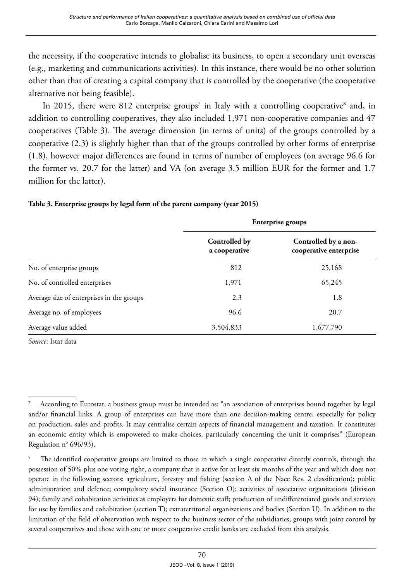the necessity, if the cooperative intends to globalise its business, to open a secondary unit overseas (e.g., marketing and communications activities). In this instance, there would be no other solution other than that of creating a capital company that is controlled by the cooperative (the cooperative alternative not being feasible).

In 2015, there were 812 enterprise groups<sup>7</sup> in Italy with a controlling cooperative<sup>8</sup> and, in addition to controlling cooperatives, they also included 1,971 non-cooperative companies and 47 cooperatives (Table 3). The average dimension (in terms of units) of the groups controlled by a cooperative (2.3) is slightly higher than that of the groups controlled by other forms of enterprise (1.8), however major differences are found in terms of number of employees (on average 96.6 for the former vs. 20.7 for the latter) and VA (on average 3.5 million EUR for the former and 1.7 million for the latter).

#### **Table 3. Enterprise groups by legal form of the parent company (year 2015)**

|                                           | Enterprise groups              |                                                |  |  |
|-------------------------------------------|--------------------------------|------------------------------------------------|--|--|
|                                           | Controlled by<br>a cooperative | Controlled by a non-<br>cooperative enterprise |  |  |
| No. of enterprise groups                  | 812                            | 25,168                                         |  |  |
| No. of controlled enterprises             | 1,971                          | 65,245                                         |  |  |
| Average size of enterprises in the groups | 2.3                            | 1.8                                            |  |  |
| Average no. of employees                  | 96.6                           | 20.7                                           |  |  |
| Average value added                       | 3,504,833                      | 1,677,790                                      |  |  |

<sup>7</sup> According to Eurostat, a business group must be intended as: "an association of enterprises bound together by legal and/or financial links. A group of enterprises can have more than one decision-making centre, especially for policy on production, sales and profits. It may centralise certain aspects of financial management and taxation. It constitutes an economic entity which is empowered to make choices, particularly concerning the unit it comprises" (European Regulation n° 696/93).

The identified cooperative groups are limited to those in which a single cooperative directly controls, through the possession of 50% plus one voting right, a company that is active for at least six months of the year and which does not operate in the following sectors: agriculture, forestry and fishing (section A of the Nace Rev. 2 classification); public administration and defence; compulsory social insurance (Section O); activities of associative organizations (division 94); family and cohabitation activities as employers for domestic staff; production of undifferentiated goods and services for use by families and cohabitation (section T); extraterritorial organizations and bodies (Section U). In addition to the limitation of the field of observation with respect to the business sector of the subsidiaries, groups with joint control by several cooperatives and those with one or more cooperative credit banks are excluded from this analysis.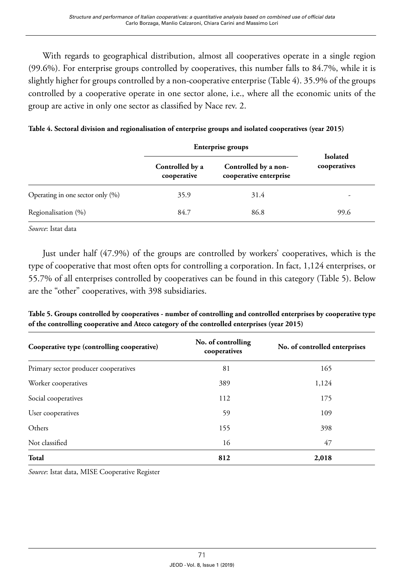With regards to geographical distribution, almost all cooperatives operate in a single region (99.6%). For enterprise groups controlled by cooperatives, this number falls to 84.7%, while it is slightly higher for groups controlled by a non-cooperative enterprise (Table 4). 35.9% of the groups controlled by a cooperative operate in one sector alone, i.e., where all the economic units of the group are active in only one sector as classified by Nace rev. 2.

|  |  | Table 4. Sectoral division and regionalisation of enterprise groups and isolated cooperatives (year 2015) |  |  |  |
|--|--|-----------------------------------------------------------------------------------------------------------|--|--|--|
|  |  |                                                                                                           |  |  |  |

|                                  |                                | <b>Enterprise groups</b>                       |                                 |
|----------------------------------|--------------------------------|------------------------------------------------|---------------------------------|
|                                  | Controlled by a<br>cooperative | Controlled by a non-<br>cooperative enterprise | <b>Isolated</b><br>cooperatives |
| Operating in one sector only (%) | 35.9                           | 31.4                                           | -                               |
| Regionalisation (%)              | 84.7                           | 86.8                                           | 99.6                            |

*Source*: Istat data

Just under half (47.9%) of the groups are controlled by workers' cooperatives, which is the type of cooperative that most often opts for controlling a corporation. In fact, 1,124 enterprises, or 55.7% of all enterprises controlled by cooperatives can be found in this category (Table 5). Below are the "other" cooperatives, with 398 subsidiaries.

| Table 5. Groups controlled by cooperatives - number of controlling and controlled enterprises by cooperative type |
|-------------------------------------------------------------------------------------------------------------------|
| of the controlling cooperative and Ateco category of the controlled enterprises (year 2015)                       |

| Cooperative type (controlling cooperative) | No. of controlling<br>cooperatives | No. of controlled enterprises |
|--------------------------------------------|------------------------------------|-------------------------------|
| Primary sector producer cooperatives       | 81                                 | 165                           |
| Worker cooperatives                        | 389                                | 1,124                         |
| Social cooperatives                        | 112                                | 175                           |
| User cooperatives                          | 59                                 | 109                           |
| Others                                     | 155                                | 398                           |
| Not classified                             | 16                                 | 47                            |
| Total                                      | 812                                | 2,018                         |

*Source*: Istat data, MISE Cooperative Register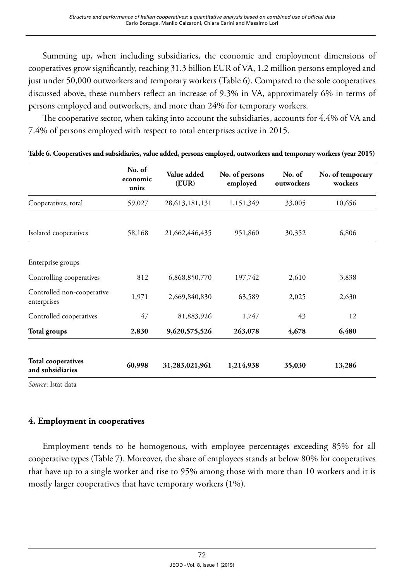Summing up, when including subsidiaries, the economic and employment dimensions of cooperatives grow significantly, reaching 31.3 billion EUR of VA, 1.2 million persons employed and just under 50,000 outworkers and temporary workers (Table 6). Compared to the sole cooperatives discussed above, these numbers reflect an increase of 9.3% in VA, approximately 6% in terms of persons employed and outworkers, and more than 24% for temporary workers.

The cooperative sector, when taking into account the subsidiaries, accounts for 4.4% of VA and 7.4% of persons employed with respect to total enterprises active in 2015.

|                                               | No. of<br>economic<br>units | Value added<br>(EUR) | No. of persons<br>employed | No. of<br>outworkers | No. of temporary<br>workers |
|-----------------------------------------------|-----------------------------|----------------------|----------------------------|----------------------|-----------------------------|
| Cooperatives, total                           | 59,027                      | 28, 613, 181, 131    | 1,151,349                  | 33,005               | 10,656                      |
| Isolated cooperatives                         | 58,168                      | 21,662,446,435       | 951,860                    | 30,352               | 6,806                       |
| Enterprise groups                             |                             |                      |                            |                      |                             |
| Controlling cooperatives                      | 812                         | 6,868,850,770        | 197,742                    | 2,610                | 3,838                       |
| Controlled non-cooperative<br>enterprises     | 1,971                       | 2,669,840,830        | 63,589                     | 2,025                | 2,630                       |
| Controlled cooperatives                       | 47                          | 81,883,926           | 1,747                      | 43                   | 12                          |
| <b>Total groups</b>                           | 2,830                       | 9,620,575,526        | 263,078                    | 4,678                | 6,480                       |
| <b>Total cooperatives</b><br>and subsidiaries | 60,998                      | 31,283,021,961       | 1,214,938                  | 35,030               | 13,286                      |

|  | Table 6. Cooperatives and subsidiaries, value added, persons employed, outworkers and temporary workers (year 2015) |  |  |
|--|---------------------------------------------------------------------------------------------------------------------|--|--|
|  |                                                                                                                     |  |  |

*Source*: Istat data

## **4. Employment in cooperatives**

Employment tends to be homogenous, with employee percentages exceeding 85% for all cooperative types (Table 7). Moreover, the share of employees stands at below 80% for cooperatives that have up to a single worker and rise to 95% among those with more than 10 workers and it is mostly larger cooperatives that have temporary workers (1%).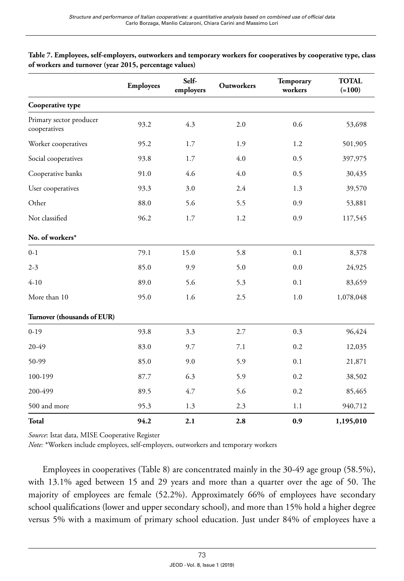|                                         | <b>Employees</b> | Self-<br>employers | Outworkers | Temporary<br>workers | <b>TOTAL</b><br>$(=100)$ |
|-----------------------------------------|------------------|--------------------|------------|----------------------|--------------------------|
| Cooperative type                        |                  |                    |            |                      |                          |
| Primary sector producer<br>cooperatives | 93.2             | 4.3                | 2.0        | 0.6                  | 53,698                   |
| Worker cooperatives                     | 95.2             | 1.7                | 1.9        | 1.2                  | 501,905                  |
| Social cooperatives                     | 93.8             | 1.7                | 4.0        | 0.5                  | 397,975                  |
| Cooperative banks                       | 91.0             | 4.6                | 4.0        | 0.5                  | 30,435                   |
| User cooperatives                       | 93.3             | 3.0                | 2.4        | 1.3                  | 39,570                   |
| Other                                   | 88.0             | 5.6                | 5.5        | 0.9                  | 53,881                   |
| Not classified                          | 96.2             | 1.7                | 1.2        | 0.9                  | 117,545                  |
| No. of workers*                         |                  |                    |            |                      |                          |
| $0 - 1$                                 | 79.1             | 15.0               | 5.8        | 0.1                  | 8,378                    |
| $2 - 3$                                 | 85.0             | 9.9                | 5.0        | 0.0                  | 24,925                   |
| $4 - 10$                                | 89.0             | 5.6                | 5.3        | 0.1                  | 83,659                   |
| More than 10                            | 95.0             | 1.6                | 2.5        | 1.0                  | 1,078,048                |
| Turnover (thousands of EUR)             |                  |                    |            |                      |                          |
| $0-19$                                  | 93.8             | 3.3                | 2.7        | 0.3                  | 96,424                   |
| 20-49                                   | 83.0             | 9.7                | 7.1        | 0.2                  | 12,035                   |
| 50-99                                   | 85.0             | 9.0                | 5.9        | 0.1                  | 21,871                   |
| 100-199                                 | 87.7             | 6.3                | 5.9        | 0.2                  | 38,502                   |
| 200-499                                 | 89.5             | 4.7                | 5.6        | 0.2                  | 85,465                   |
| 500 and more                            | 95.3             | 1.3                | 2.3        | 1.1                  | 940,712                  |
| Total                                   | 94.2             | 2.1                | 2.8        | 0.9                  | 1,195,010                |

**Table 7. Employees, self-employers, outworkers and temporary workers for cooperatives by cooperative type, class of workers and turnover (year 2015, percentage values)**

*Source*: Istat data, MISE Cooperative Register

*Note:* \*Workers include employees, self-employers, outworkers and temporary workers

Employees in cooperatives (Table 8) are concentrated mainly in the 30-49 age group (58.5%), with 13.1% aged between 15 and 29 years and more than a quarter over the age of 50. The majority of employees are female (52.2%). Approximately 66% of employees have secondary school qualifications (lower and upper secondary school), and more than 15% hold a higher degree versus 5% with a maximum of primary school education. Just under 84% of employees have a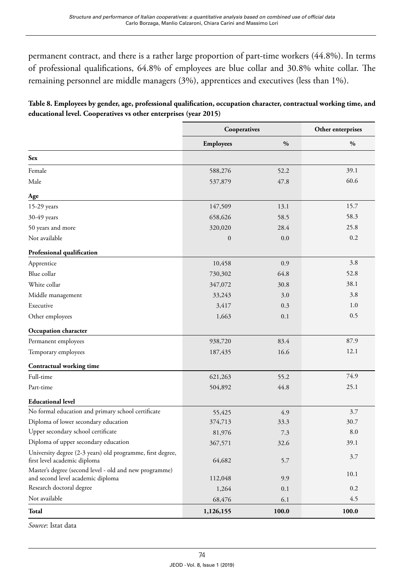permanent contract, and there is a rather large proportion of part-time workers (44.8%). In terms of professional qualifications, 64.8% of employees are blue collar and 30.8% white collar. The remaining personnel are middle managers (3%), apprentices and executives (less than 1%).

| Table 8. Employees by gender, age, professional qualification, occupation character, contractual working time, and |  |
|--------------------------------------------------------------------------------------------------------------------|--|
| educational level. Cooperatives vs other enterprises (year 2015)                                                   |  |

|                                                                                             | Cooperatives     |               | Other enterprises |  |
|---------------------------------------------------------------------------------------------|------------------|---------------|-------------------|--|
|                                                                                             | <b>Employees</b> | $\frac{0}{0}$ | $\%$              |  |
| <b>Sex</b>                                                                                  |                  |               |                   |  |
| Female                                                                                      | 588,276          | 52.2          | 39.1              |  |
| Male                                                                                        | 537,879          | 47.8          | 60.6              |  |
| Age                                                                                         |                  |               |                   |  |
| 15-29 years                                                                                 | 147,509          | 13.1          | 15.7              |  |
| 30-49 years                                                                                 | 658,626          | 58.5          | 58.3              |  |
| 50 years and more                                                                           | 320,020          | 28.4          | 25.8              |  |
| Not available                                                                               | $\boldsymbol{0}$ | 0.0           | 0.2               |  |
| Professional qualification                                                                  |                  |               |                   |  |
| Apprentice                                                                                  | 10,458           | 0.9           | 3.8               |  |
| Blue collar                                                                                 | 730,302          | 64.8          | 52.8              |  |
| White collar                                                                                | 347,072          | 30.8          | 38.1              |  |
| Middle management                                                                           | 33,243           | 3.0           | 3.8               |  |
| Executive                                                                                   | 3,417            | 0.3           | 1.0               |  |
| Other employees                                                                             | 1,663            | 0.1           | 0.5               |  |
| Occupation character                                                                        |                  |               |                   |  |
| Permanent employees                                                                         | 938,720          | 83.4          | 87.9              |  |
| Temporary employees                                                                         | 187,435          | 16.6          | 12.1              |  |
| <b>Contractual working time</b>                                                             |                  |               |                   |  |
| Full-time                                                                                   | 621,263          | 55.2          | 74.9              |  |
| Part-time                                                                                   | 504,892          | 44.8          | 25.1              |  |
| <b>Educational level</b>                                                                    |                  |               |                   |  |
| No formal education and primary school certificate                                          | 55,425           | 4.9           | 3.7               |  |
| Diploma of lower secondary education                                                        | 374,713          | 33.3          | 30.7              |  |
| Upper secondary school certificate                                                          | 81,976           | 7.3           | 8.0               |  |
| Diploma of upper secondary education                                                        | 367,571          | 32.6          | 39.1              |  |
| University degree (2-3 years) old programme, first degree,<br>first level academic diploma  | 64,682           | 5.7           | 3.7               |  |
| Master's degree (second level - old and new programme)<br>and second level academic diploma | 112,048          | 9.9           | 10.1              |  |
| Research doctoral degree                                                                    | 1,264            | 0.1           | 0.2               |  |
| Not available                                                                               | 68,476           | 6.1           | 4.5               |  |
| Total                                                                                       | 1,126,155        | 100.0         | 100.0             |  |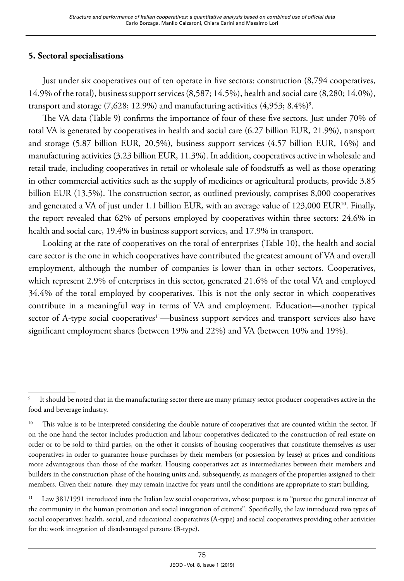# **5. Sectoral specialisations**

Just under six cooperatives out of ten operate in five sectors: construction (8,794 cooperatives, 14.9% of the total), business support services (8,587; 14.5%), health and social care (8,280; 14.0%), transport and storage  $(7,628; 12.9\%)$  and manufacturing activities  $(4,953; 8.4\%)$ <sup>9</sup>.

The VA data (Table 9) confirms the importance of four of these five sectors. Just under 70% of total VA is generated by cooperatives in health and social care (6.27 billion EUR, 21.9%), transport and storage (5.87 billion EUR, 20.5%), business support services (4.57 billion EUR, 16%) and manufacturing activities (3.23 billion EUR, 11.3%). In addition, cooperatives active in wholesale and retail trade, including cooperatives in retail or wholesale sale of foodstuffs as well as those operating in other commercial activities such as the supply of medicines or agricultural products, provide 3.85 billion EUR (13.5%). The construction sector, as outlined previously, comprises 8,000 cooperatives and generated a VA of just under 1.1 billion EUR, with an average value of 123,000 EUR<sup>10</sup>. Finally, the report revealed that 62% of persons employed by cooperatives within three sectors: 24.6% in health and social care, 19.4% in business support services, and 17.9% in transport.

Looking at the rate of cooperatives on the total of enterprises (Table 10), the health and social care sector is the one in which cooperatives have contributed the greatest amount of VA and overall employment, although the number of companies is lower than in other sectors. Cooperatives, which represent 2.9% of enterprises in this sector, generated 21.6% of the total VA and employed 34.4% of the total employed by cooperatives. This is not the only sector in which cooperatives contribute in a meaningful way in terms of VA and employment. Education—another typical sector of A-type social cooperatives<sup>11</sup>—business support services and transport services also have significant employment shares (between 19% and 22%) and VA (between 10% and 19%).

It should be noted that in the manufacturing sector there are many primary sector producer cooperatives active in the food and beverage industry.

<sup>&</sup>lt;sup>10</sup> This value is to be interpreted considering the double nature of cooperatives that are counted within the sector. If on the one hand the sector includes production and labour cooperatives dedicated to the construction of real estate on order or to be sold to third parties, on the other it consists of housing cooperatives that constitute themselves as user cooperatives in order to guarantee house purchases by their members (or possession by lease) at prices and conditions more advantageous than those of the market. Housing cooperatives act as intermediaries between their members and builders in the construction phase of the housing units and, subsequently, as managers of the properties assigned to their members. Given their nature, they may remain inactive for years until the conditions are appropriate to start building.

<sup>&</sup>lt;sup>11</sup> Law 381/1991 introduced into the Italian law social cooperatives, whose purpose is to "pursue the general interest of the community in the human promotion and social integration of citizens". Specifically, the law introduced two types of social cooperatives: health, social, and educational cooperatives (A-type) and social cooperatives providing other activities for the work integration of disadvantaged persons (B-type).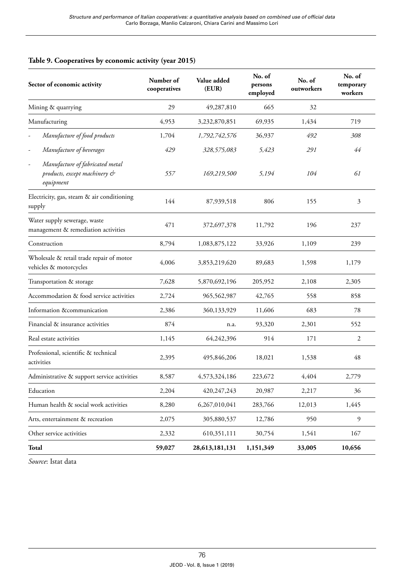#### **Table 9. Cooperatives by economic activity (year 2015)**

| Sector of economic activity                                                                              | Number of<br>cooperatives | Value added<br>(EUR) | No. of<br>persons<br>employed | No. of<br>outworkers | No. of<br>temporary<br>workers |
|----------------------------------------------------------------------------------------------------------|---------------------------|----------------------|-------------------------------|----------------------|--------------------------------|
| Mining & quarrying                                                                                       | 29                        | 49,287,810           | 665                           | 32                   |                                |
| Manufacturing                                                                                            | 4,953                     | 3,232,870,851        | 69,935                        | 1,434                | 719                            |
| Manufacture of food products                                                                             | 1,704                     | 1,792,742,576        | 36,937                        | 492                  | 308                            |
| Manufacture of beverages                                                                                 | 429                       | 328,575,083          | 5,423                         | 291                  | 44                             |
| Manufacture of fabricated metal<br>$\overline{\phantom{a}}$<br>products, except machinery &<br>equipment | 557                       | 169,219,500          | 5,194                         | 104                  | 61                             |
| Electricity, gas, steam & air conditioning<br>supply                                                     | 144                       | 87,939,518           | 806                           | 155                  | 3                              |
| Water supply sewerage, waste<br>management & remediation activities                                      | 471                       | 372,697,378          | 11,792                        | 196                  | 237                            |
| Construction                                                                                             | 8,794                     | 1,083,875,122        | 33,926                        | 1,109                | 239                            |
| Wholesale & retail trade repair of motor<br>vehicles & motorcycles                                       | 4,006                     | 3,853,219,620        | 89,683                        | 1,598                | 1,179                          |
| Transportation & storage                                                                                 | 7,628                     | 5,870,692,196        | 205,952                       | 2,108                | 2,305                          |
| Accommodation & food service activities                                                                  | 2,724                     | 965,562,987          | 42,765                        | 558                  | 858                            |
| Information &communication                                                                               | 2.386                     | 360,133,929          | 11,606                        | 683                  | 78                             |
| Financial & insurance activities                                                                         | 874                       | n.a.                 | 93,320                        | 2,301                | 552                            |
| Real estate activities                                                                                   | 1,145                     | 64,242,396           | 914                           | 171                  | 2                              |
| Professional, scientific & technical<br>activities                                                       | 2,395                     | 495,846,206          | 18,021                        | 1,538                | 48                             |
| Administrative & support service activities                                                              | 8,587                     | 4,573,324,186        | 223,672                       | 4,404                | 2,779                          |
| Education                                                                                                | 2,204                     | 420,247,243          | 20,987                        | 2,217                | 36                             |
| Human health & social work activities                                                                    | 8,280                     | 6,267,010,041        | 283,766                       | 12,013               | 1,445                          |
| Arts, entertainment & recreation                                                                         | 2,075                     | 305,880,537          | 12,786                        | 950                  | 9                              |
| Other service activities                                                                                 | 2,332                     | 610,351,111          | 30,754                        | 1,541                | 167                            |
| Total                                                                                                    | 59,027                    | 28,613,181,131       | 1,151,349                     | 33,005               | 10,656                         |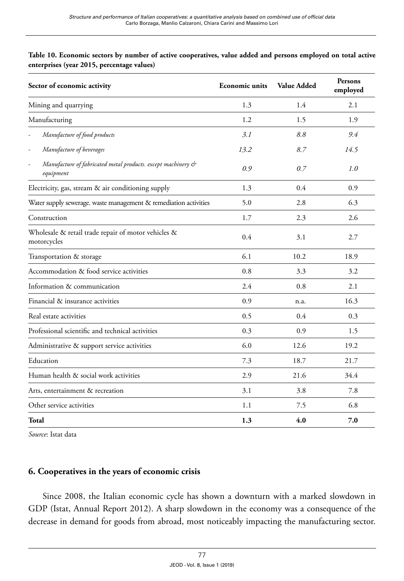| Table 10. Economic sectors by number of active cooperatives, value added and persons employed on total active |  |  |
|---------------------------------------------------------------------------------------------------------------|--|--|
| enterprises (year 2015, percentage values)                                                                    |  |  |

| Sector of economic activity                                               | <b>Economic units</b> | <b>Value Added</b> | Persons<br>employed |  |
|---------------------------------------------------------------------------|-----------------------|--------------------|---------------------|--|
| Mining and quarrying                                                      | 1.3                   | 1.4                | 2.1                 |  |
| Manufacturing                                                             | 1.2                   | 1.5                | 1.9                 |  |
| Manufacture of food products                                              | 3.1                   | 8.8                | 9.4                 |  |
| Manufacture of beverages<br>۰                                             | 13.2                  | 8.7                | 14.5                |  |
| Manufacture of fabricated metal products. except machinery &<br>equipment | 0.9                   | 0.7                | 1.0                 |  |
| Electricity, gas, stream & air conditioning supply                        | 1.3                   | 0.4                | 0.9                 |  |
| Water supply sewerage. waste management & remediation activities          | 5.0                   | 2.8                | 6.3                 |  |
| Construction                                                              | 1.7                   | 2.3                | 2.6                 |  |
| Wholesale & retail trade repair of motor vehicles &<br>motorcycles        | 0.4                   | 3.1                | 2.7                 |  |
| Transportation & storage                                                  | 6.1                   | 10.2               | 18.9                |  |
| Accommodation & food service activities                                   | 0.8                   | 3.3                | 3.2                 |  |
| Information & communication                                               | 2.4                   | 0.8                | 2.1                 |  |
| Financial & insurance activities                                          | 0.9                   | n.a.               | 16.3                |  |
| Real estate activities                                                    | 0.5                   | 0.4                | 0.3                 |  |
| Professional scientific and technical activities                          | 0.3                   | 0.9                | 1.5                 |  |
| Administrative & support service activities                               | 6.0                   | 12.6               | 19.2                |  |
| Education                                                                 | 7.3                   | 18.7               | 21.7                |  |
| Human health & social work activities                                     | 2.9                   | 21.6               | 34.4                |  |
| Arts, entertainment & recreation                                          | 3.1                   | 3.8                | 7.8                 |  |
| Other service activities                                                  | 1.1                   | 7.5                | 6.8                 |  |
| Total                                                                     | 1.3                   | 4.0                | 7.0                 |  |

*Source*: Istat data

## **6. Cooperatives in the years of economic crisis**

Since 2008, the Italian economic cycle has shown a downturn with a marked slowdown in GDP (Istat, Annual Report 2012). A sharp slowdown in the economy was a consequence of the decrease in demand for goods from abroad, most noticeably impacting the manufacturing sector.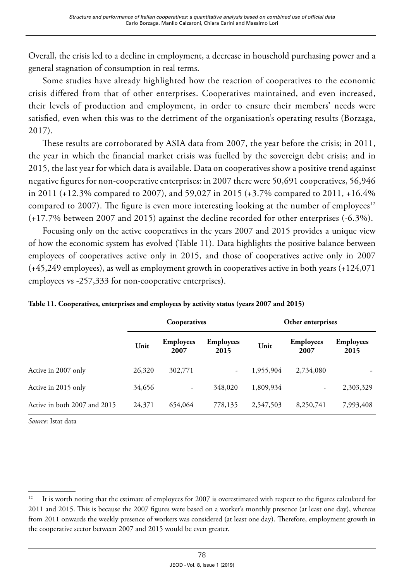Overall, the crisis led to a decline in employment, a decrease in household purchasing power and a general stagnation of consumption in real terms.

Some studies have already highlighted how the reaction of cooperatives to the economic crisis differed from that of other enterprises. Cooperatives maintained, and even increased, their levels of production and employment, in order to ensure their members' needs were satisfied, even when this was to the detriment of the organisation's operating results (Borzaga, 2017).

These results are corroborated by ASIA data from 2007, the year before the crisis; in 2011, the year in which the financial market crisis was fuelled by the sovereign debt crisis; and in 2015, the last year for which data is available. Data on cooperatives show a positive trend against negative figures for non-cooperative enterprises: in 2007 there were 50,691 cooperatives, 56,946 in 2011 (+12.3% compared to 2007), and 59,027 in 2015 (+3.7% compared to 2011, +16.4% compared to 2007). The figure is even more interesting looking at the number of employees $12$ (+17.7% between 2007 and 2015) against the decline recorded for other enterprises (-6.3%).

Focusing only on the active cooperatives in the years 2007 and 2015 provides a unique view of how the economic system has evolved (Table 11). Data highlights the positive balance between employees of cooperatives active only in 2015, and those of cooperatives active only in 2007 (+45,249 employees), as well as employment growth in cooperatives active in both years (+124,071 employees vs -257,333 for non-cooperative enterprises).

|                              | Cooperatives |                          |                          | Other enterprises |                          |                          |
|------------------------------|--------------|--------------------------|--------------------------|-------------------|--------------------------|--------------------------|
|                              | Unit         | <b>Employees</b><br>2007 | <b>Employees</b><br>2015 | Unit              | <b>Employees</b><br>2007 | <b>Employees</b><br>2015 |
| Active in 2007 only          | 26,320       | 302,771                  | $\overline{\phantom{a}}$ | 1,955,904         | 2,734,080                |                          |
| Active in 2015 only          | 34,656       | ٠                        | 348,020                  | 1,809,934         | -                        | 2,303,329                |
| Active in both 2007 and 2015 | 24,371       | 654,064                  | 778,135                  | 2.547.503         | 8,250,741                | 7,993,408                |

**Table 11. Cooperatives, enterprises and employees by activity status (years 2007 and 2015)**

<sup>&</sup>lt;sup>12</sup> It is worth noting that the estimate of employees for 2007 is overestimated with respect to the figures calculated for 2011 and 2015. This is because the 2007 figures were based on a worker's monthly presence (at least one day), whereas from 2011 onwards the weekly presence of workers was considered (at least one day). Therefore, employment growth in the cooperative sector between 2007 and 2015 would be even greater.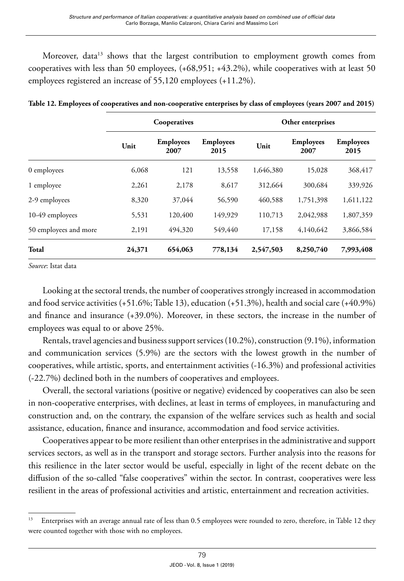Moreover, data<sup>13</sup> shows that the largest contribution to employment growth comes from cooperatives with less than 50 employees, (+68,951; +43.2%), while cooperatives with at least 50 employees registered an increase of 55,120 employees (+11.2%).

|                       | Cooperatives |                          |                          | Other enterprises |                          |                          |
|-----------------------|--------------|--------------------------|--------------------------|-------------------|--------------------------|--------------------------|
|                       | Unit         | <b>Employees</b><br>2007 | <b>Employees</b><br>2015 | Unit              | <b>Employees</b><br>2007 | <b>Employees</b><br>2015 |
| 0 employees           | 6,068        | 121                      | 13,558                   | 1,646,380         | 15,028                   | 368,417                  |
| 1 employee            | 2,261        | 2,178                    | 8,617                    | 312,664           | 300,684                  | 339,926                  |
| 2-9 employees         | 8,320        | 37,044                   | 56,590                   | 460,588           | 1,751,398                | 1,611,122                |
| 10-49 employees       | 5,531        | 120,400                  | 149,929                  | 110,713           | 2,042,988                | 1,807,359                |
| 50 employees and more | 2,191        | 494,320                  | 549,440                  | 17,158            | 4,140,642                | 3,866,584                |
| Total                 | 24,371       | 654,063                  | 778,134                  | 2,547,503         | 8,250,740                | 7,993,408                |

**Table 12. Employees of cooperatives and non-cooperative enterprises by class of employees (years 2007 and 2015)**

*Source*: Istat data

Looking at the sectoral trends, the number of cooperatives strongly increased in accommodation and food service activities (+51.6%; Table 13), education (+51.3%), health and social care (+40.9%) and finance and insurance (+39.0%). Moreover, in these sectors, the increase in the number of employees was equal to or above 25%.

Rentals, travel agencies and business support services (10.2%), construction (9.1%), information and communication services (5.9%) are the sectors with the lowest growth in the number of cooperatives, while artistic, sports, and entertainment activities (-16.3%) and professional activities (-22.7%) declined both in the numbers of cooperatives and employees.

Overall, the sectoral variations (positive or negative) evidenced by cooperatives can also be seen in non-cooperative enterprises, with declines, at least in terms of employees, in manufacturing and construction and, on the contrary, the expansion of the welfare services such as health and social assistance, education, finance and insurance, accommodation and food service activities.

Cooperatives appear to be more resilient than other enterprises in the administrative and support services sectors, as well as in the transport and storage sectors. Further analysis into the reasons for this resilience in the later sector would be useful, especially in light of the recent debate on the diffusion of the so-called "false cooperatives" within the sector. In contrast, cooperatives were less resilient in the areas of professional activities and artistic, entertainment and recreation activities.

<sup>&</sup>lt;sup>13</sup> Enterprises with an average annual rate of less than 0.5 employees were rounded to zero, therefore, in Table 12 they were counted together with those with no employees.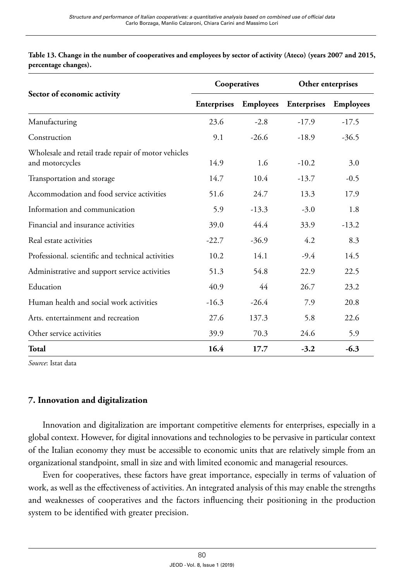| Table 13. Change in the number of cooperatives and employees by sector of activity (Ateco) (years 2007 and 2015, |  |  |
|------------------------------------------------------------------------------------------------------------------|--|--|
| percentage changes).                                                                                             |  |  |

|                                                                        | Cooperatives |                  | Other enterprises  |                  |
|------------------------------------------------------------------------|--------------|------------------|--------------------|------------------|
| Sector of economic activity                                            | Enterprises  | <b>Employees</b> | <b>Enterprises</b> | <b>Employees</b> |
| Manufacturing                                                          | 23.6         | $-2.8$           | $-17.9$            | $-17.5$          |
| Construction                                                           | 9.1          | $-26.6$          | $-18.9$            | $-36.5$          |
| Wholesale and retail trade repair of motor vehicles<br>and motorcycles | 14.9         | 1.6              | $-10.2$            | 3.0              |
| Transportation and storage                                             | 14.7         | 10.4             | $-13.7$            | $-0.5$           |
| Accommodation and food service activities                              | 51.6         | 24.7             | 13.3               | 17.9             |
| Information and communication                                          | 5.9          | $-13.3$          | $-3.0$             | 1.8              |
| Financial and insurance activities                                     | 39.0         | 44.4             | 33.9               | $-13.2$          |
| Real estate activities                                                 | $-22.7$      | $-36.9$          | 4.2                | 8.3              |
| Professional, scientific and technical activities                      | 10.2         | 14.1             | $-9.4$             | 14.5             |
| Administrative and support service activities                          | 51.3         | 54.8             | 22.9               | 22.5             |
| Education                                                              | 40.9         | 44               | 26.7               | 23.2             |
| Human health and social work activities                                | $-16.3$      | $-26.4$          | 7.9                | 20.8             |
| Arts, entertainment and recreation                                     | 27.6         | 137.3            | 5.8                | 22.6             |
| Other service activities                                               | 39.9         | 70.3             | 24.6               | 5.9              |
| Total                                                                  | 16.4         | 17.7             | $-3.2$             | $-6.3$           |

*Source*: Istat data

#### **7. Innovation and digitalization**

Innovation and digitalization are important competitive elements for enterprises, especially in a global context. However, for digital innovations and technologies to be pervasive in particular context of the Italian economy they must be accessible to economic units that are relatively simple from an organizational standpoint, small in size and with limited economic and managerial resources.

Even for cooperatives, these factors have great importance, especially in terms of valuation of work, as well as the effectiveness of activities. An integrated analysis of this may enable the strengths and weaknesses of cooperatives and the factors influencing their positioning in the production system to be identified with greater precision.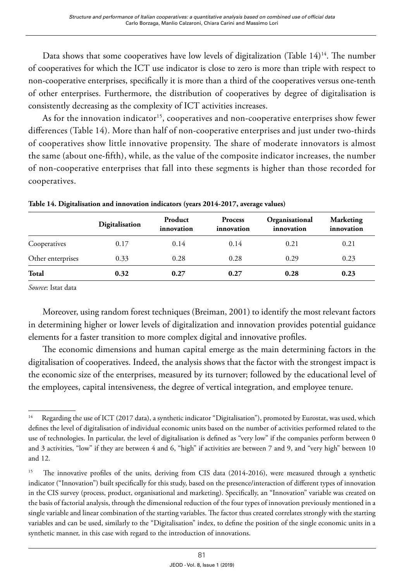Data shows that some cooperatives have low levels of digitalization (Table  $14$ )<sup>14</sup>. The number of cooperatives for which the ICT use indicator is close to zero is more than triple with respect to non-cooperative enterprises, specifically it is more than a third of the cooperatives versus one-tenth of other enterprises. Furthermore, the distribution of cooperatives by degree of digitalisation is consistently decreasing as the complexity of ICT activities increases.

As for the innovation indicator<sup>15</sup>, cooperatives and non-cooperative enterprises show fewer differences (Table 14). More than half of non-cooperative enterprises and just under two-thirds of cooperatives show little innovative propensity. The share of moderate innovators is almost the same (about one-fifth), while, as the value of the composite indicator increases, the number of non-cooperative enterprises that fall into these segments is higher than those recorded for cooperatives.

|                   | Digitalisation | Product<br>innovation | <b>Process</b><br>innovation | Organisational<br>innovation | <b>Marketing</b><br>innovation |
|-------------------|----------------|-----------------------|------------------------------|------------------------------|--------------------------------|
| Cooperatives      | 0.17           | 0.14                  | 0.14                         | 0.21                         | 0.21                           |
| Other enterprises | 0.33           | 0.28                  | 0.28                         | 0.29                         | 0.23                           |
| Total             | 0.32           | 0.27                  | 0.27                         | 0.28                         | 0.23                           |

**Table 14. Digitalisation and innovation indicators (years 2014-2017, average values)**

*Source*: Istat data

Moreover, using random forest techniques (Breiman, 2001) to identify the most relevant factors in determining higher or lower levels of digitalization and innovation provides potential guidance elements for a faster transition to more complex digital and innovative profiles.

The economic dimensions and human capital emerge as the main determining factors in the digitalisation of cooperatives. Indeed, the analysis shows that the factor with the strongest impact is the economic size of the enterprises, measured by its turnover; followed by the educational level of the employees, capital intensiveness, the degree of vertical integration, and employee tenure.

<sup>&</sup>lt;sup>14</sup> Regarding the use of ICT (2017 data), a synthetic indicator "Digitalisation"), promoted by Eurostat, was used, which defines the level of digitalisation of individual economic units based on the number of activities performed related to the use of technologies. In particular, the level of digitalisation is defined as "very low" if the companies perform between 0 and 3 activities, "low" if they are between 4 and 6, "high" if activities are between 7 and 9, and "very high" between 10 and 12.

<sup>&</sup>lt;sup>15</sup> The innovative profiles of the units, deriving from CIS data (2014-2016), were measured through a synthetic indicator ("Innovation") built specifically for this study, based on the presence/interaction of different types of innovation in the CIS survey (process, product, organisational and marketing). Specifically, an "Innovation" variable was created on the basis of factorial analysis, through the dimensional reduction of the four types of innovation previously mentioned in a single variable and linear combination of the starting variables. The factor thus created correlates strongly with the starting variables and can be used, similarly to the "Digitalisation" index, to define the position of the single economic units in a synthetic manner, in this case with regard to the introduction of innovations.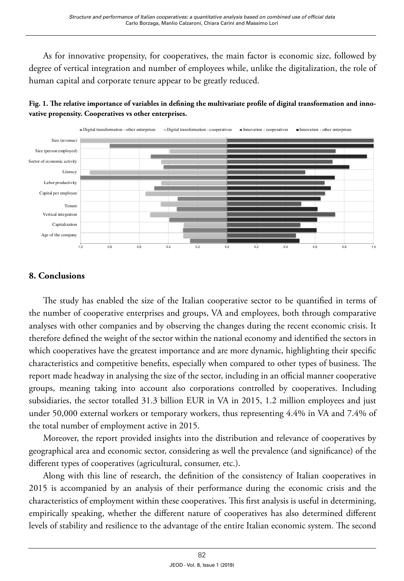As for innovative propensity, for cooperatives, the main factor is economic size, followed by degree of vertical integration and number of employees while, unlike the digitalization, the role of human capital and corporate tenure appear to be greatly reduced.



**Fig. 1. The relative importance of variables in defining the multivariate profile of digital transformation and innovative propensity. Cooperatives vs other enterprises.**

## **8. Conclusions**

The study has enabled the size of the Italian cooperative sector to be quantified in terms of the number of cooperative enterprises and groups, VA and employees, both through comparative analyses with other companies and by observing the changes during the recent economic crisis. It therefore defined the weight of the sector within the national economy and identified the sectors in which cooperatives have the greatest importance and are more dynamic, highlighting their specific characteristics and competitive benefits, especially when compared to other types of business. The report made headway in analysing the size of the sector, including in an official manner cooperative groups, meaning taking into account also corporations controlled by cooperatives. Including subsidiaries, the sector totalled 31.3 billion EUR in VA in 2015, 1.2 million employees and just under 50,000 external workers or temporary workers, thus representing 4.4% in VA and 7.4% of the total number of employment active in 2015.

Moreover, the report provided insights into the distribution and relevance of cooperatives by geographical area and economic sector, considering as well the prevalence (and significance) of the different types of cooperatives (agricultural, consumer, etc.).

Along with this line of research, the definition of the consistency of Italian cooperatives in 2015 is accompanied by an analysis of their performance during the economic crisis and the characteristics of employment within these cooperatives. This first analysis is useful in determining, empirically speaking, whether the different nature of cooperatives has also determined different levels of stability and resilience to the advantage of the entire Italian economic system. The second